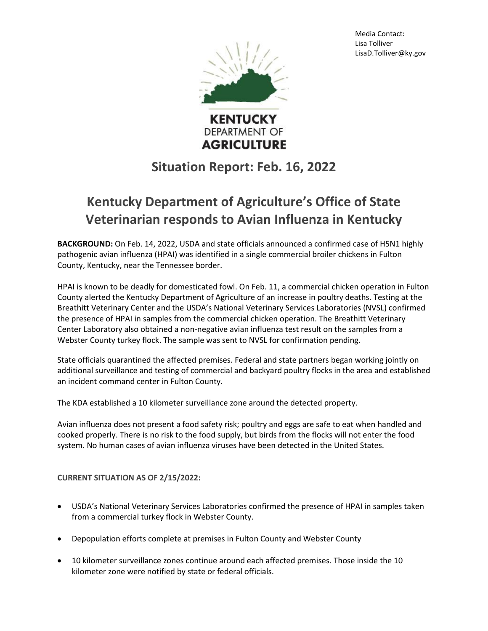Media Contact: Lisa Tolliver LisaD.Tolliver@ky.gov



**DEPARTMENT OF AGRICULTURE** 

## **Situation Report: Feb. 16, 2022**

## **Kentucky Department of Agriculture's Office of State Veterinarian responds to Avian Influenza in Kentucky**

**BACKGROUND:** On Feb. 14, 2022, USDA and state officials announced a confirmed case of H5N1 highly pathogenic avian influenza (HPAI) was identified in a single commercial broiler chickens in Fulton County, Kentucky, near the Tennessee border.

HPAI is known to be deadly for domesticated fowl. On Feb. 11, a commercial chicken operation in Fulton County alerted the Kentucky Department of Agriculture of an increase in poultry deaths. Testing at the Breathitt Veterinary Center and the USDA's National Veterinary Services Laboratories (NVSL) confirmed the presence of HPAI in samples from the commercial chicken operation. The Breathitt Veterinary Center Laboratory also obtained a non-negative avian influenza test result on the samples from a Webster County turkey flock. The sample was sent to NVSL for confirmation pending.

State officials quarantined the affected premises. Federal and state partners began working jointly on additional surveillance and testing of commercial and backyard poultry flocks in the area and established an incident command center in Fulton County.

The KDA established a 10 kilometer surveillance zone around the detected property.

Avian influenza does not present a food safety risk; poultry and eggs are safe to eat when handled and cooked properly. There is no risk to the food supply, but birds from the flocks will not enter the food system. No human cases of avian influenza viruses have been detected in the United States.

**CURRENT SITUATION AS OF 2/15/2022:**

- USDA's National Veterinary Services Laboratories confirmed the presence of HPAI in samples taken from a commercial turkey flock in Webster County.
- Depopulation efforts complete at premises in Fulton County and Webster County
- 10 kilometer surveillance zones continue around each affected premises. Those inside the 10 kilometer zone were notified by state or federal officials.